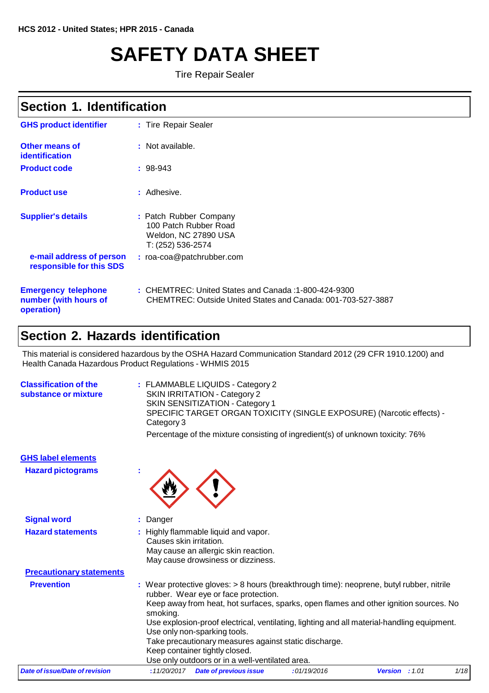# **SAFETY DATA SHEET**

**Tire Repair Sealer** 

## **Section 1. Identification**

| <b>GHS product identifier</b>                                     | : Tire Repair Sealer                                                                                                     |
|-------------------------------------------------------------------|--------------------------------------------------------------------------------------------------------------------------|
| Other means of<br>identification                                  | : Not available.                                                                                                         |
| <b>Product code</b>                                               | $: 98-943$                                                                                                               |
| <b>Product use</b>                                                | : Adhesive.                                                                                                              |
| <b>Supplier's details</b>                                         | : Patch Rubber Company<br>100 Patch Rubber Road<br>Weldon, NC 27890 USA<br>T: (252) 536-2574                             |
| e-mail address of person<br>responsible for this SDS              | : roa-coa@patchrubber.com                                                                                                |
| <b>Emergency telephone</b><br>number (with hours of<br>operation) | $\pm$ CHEMTREC: United States and Canada :1-800-424-9300<br>CHEMTREC: Outside United States and Canada: 001-703-527-3887 |

### **Section 2. Hazards identification**

This material is considered hazardous by the OSHA Hazard Communication Standard 2012 (29 CFR 1910.1200) and Health Canada Hazardous Product Regulations - WHMIS 2015

| <b>Classification of the</b><br>substance or mixture | : FLAMMABLE LIQUIDS - Category 2<br>SKIN IRRITATION - Category 2<br>SKIN SENSITIZATION - Category 1<br>SPECIFIC TARGET ORGAN TOXICITY (SINGLE EXPOSURE) (Narcotic effects) -<br>Category 3 |
|------------------------------------------------------|--------------------------------------------------------------------------------------------------------------------------------------------------------------------------------------------|
|                                                      | Percentage of the mixture consisting of ingredient(s) of unknown toxicity: 76%                                                                                                             |

| <b>GHS label elements</b>       |                         |                                                                                                                                                                                                                                                                                                                                                                                                                                                                                                       |             |                         |      |
|---------------------------------|-------------------------|-------------------------------------------------------------------------------------------------------------------------------------------------------------------------------------------------------------------------------------------------------------------------------------------------------------------------------------------------------------------------------------------------------------------------------------------------------------------------------------------------------|-------------|-------------------------|------|
| <b>Hazard pictograms</b>        |                         |                                                                                                                                                                                                                                                                                                                                                                                                                                                                                                       |             |                         |      |
| <b>Signal word</b>              | : Danger                |                                                                                                                                                                                                                                                                                                                                                                                                                                                                                                       |             |                         |      |
| <b>Hazard statements</b>        | Causes skin irritation. | : Highly flammable liquid and vapor.<br>May cause an allergic skin reaction.<br>May cause drowsiness or dizziness.                                                                                                                                                                                                                                                                                                                                                                                    |             |                         |      |
| <b>Precautionary statements</b> |                         |                                                                                                                                                                                                                                                                                                                                                                                                                                                                                                       |             |                         |      |
| <b>Prevention</b>               | smoking.                | : Wear protective gloves: > 8 hours (breakthrough time): neoprene, butyl rubber, nitrile<br>rubber. Wear eye or face protection.<br>Keep away from heat, hot surfaces, sparks, open flames and other ignition sources. No<br>Use explosion-proof electrical, ventilating, lighting and all material-handling equipment.<br>Use only non-sparking tools.<br>Take precautionary measures against static discharge.<br>Keep container tightly closed.<br>Use only outdoors or in a well-ventilated area. |             |                         |      |
| Date of issue/Date of revision  | :11/20/2017             | <b>Date of previous issue</b>                                                                                                                                                                                                                                                                                                                                                                                                                                                                         | :01/19/2016 | <b>Version</b> : $1.01$ | 1/18 |
|                                 |                         |                                                                                                                                                                                                                                                                                                                                                                                                                                                                                                       |             |                         |      |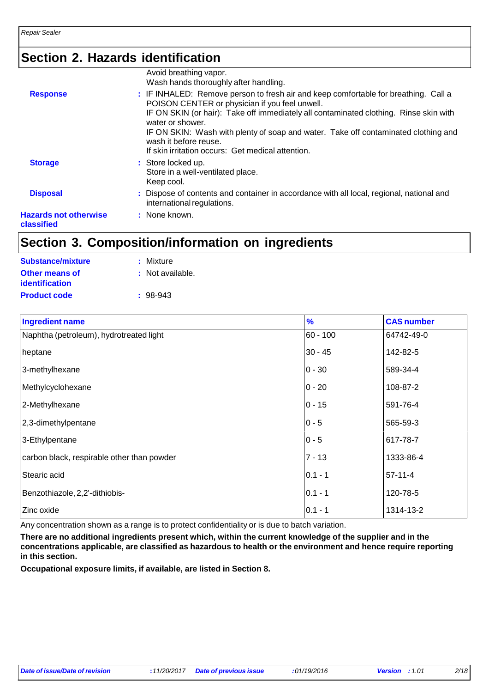## **Section 2. Hazards identification**

|                                            | Avoid breathing vapor.<br>Wash hands thoroughly after handling.                                                                                                                                                                                                                                                                                                                                                        |
|--------------------------------------------|------------------------------------------------------------------------------------------------------------------------------------------------------------------------------------------------------------------------------------------------------------------------------------------------------------------------------------------------------------------------------------------------------------------------|
| <b>Response</b>                            | : IF INHALED: Remove person to fresh air and keep comfortable for breathing. Call a<br>POISON CENTER or physician if you feel unwell.<br>IF ON SKIN (or hair): Take off immediately all contaminated clothing. Rinse skin with<br>water or shower.<br>IF ON SKIN: Wash with plenty of soap and water. Take off contaminated clothing and<br>wash it before reuse.<br>If skin irritation occurs: Get medical attention. |
| <b>Storage</b>                             | : Store locked up.<br>Store in a well-ventilated place.<br>Keep cool.                                                                                                                                                                                                                                                                                                                                                  |
| <b>Disposal</b>                            | : Dispose of contents and container in accordance with all local, regional, national and<br>international regulations.                                                                                                                                                                                                                                                                                                 |
| <b>Hazards not otherwise</b><br>classified | : None known.                                                                                                                                                                                                                                                                                                                                                                                                          |

## **Section 3. Composition/information on ingredients**

| Substance/mixture     | : Mixture        |
|-----------------------|------------------|
| Other means of        | : Not available. |
| <b>identification</b> |                  |
| <b>Product code</b>   | $: 98-943$       |

| <b>Ingredient name</b>                     | $\frac{9}{6}$ | <b>CAS number</b> |
|--------------------------------------------|---------------|-------------------|
| Naphtha (petroleum), hydrotreated light    | $60 - 100$    | 64742-49-0        |
| heptane                                    | $30 - 45$     | 142-82-5          |
| 3-methylhexane                             | $0 - 30$      | 589-34-4          |
| Methylcyclohexane                          | $0 - 20$      | 108-87-2          |
| 2-Methylhexane                             | $0 - 15$      | 591-76-4          |
| 2,3-dimethylpentane                        | $0 - 5$       | 565-59-3          |
| 3-Ethylpentane                             | $0 - 5$       | 617-78-7          |
| carbon black, respirable other than powder | $7 - 13$      | 1333-86-4         |
| Stearic acid                               | $0.1 - 1$     | $57-11-4$         |
| Benzothiazole, 2,2'-dithiobis-             | $0.1 - 1$     | 120-78-5          |
| Zinc oxide                                 | $0.1 - 1$     | 1314-13-2         |

Any concentration shown as a range is to protect confidentiality or is due to batch variation.

There are no additional ingredients present which, within the current knowledge of the supplier and in the **concentrations applicable, are classified as hazardous to health or the environment and hence require reporting in this section.**

**Occupational exposure limits, if available, are listed in Section 8.**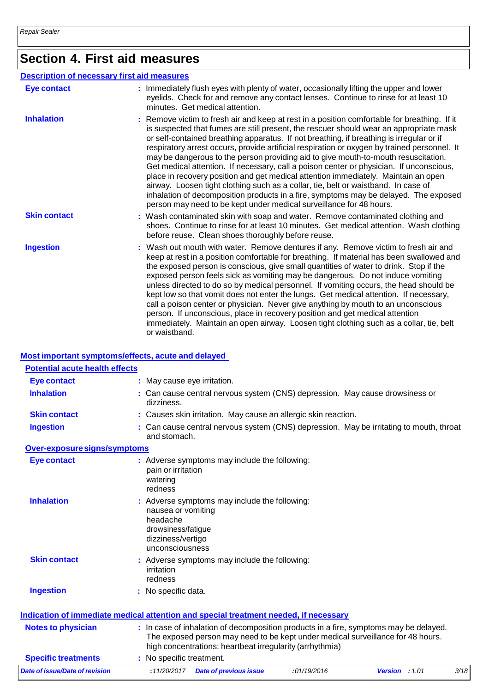# **Section 4. First aid measures**

| <b>Description of necessary first aid measures</b> |                                                                                                                                                                                                                                                                                                                                                                                                                                                                                                                                                                                                                                                                                                                                                                                                                                                                                                                |
|----------------------------------------------------|----------------------------------------------------------------------------------------------------------------------------------------------------------------------------------------------------------------------------------------------------------------------------------------------------------------------------------------------------------------------------------------------------------------------------------------------------------------------------------------------------------------------------------------------------------------------------------------------------------------------------------------------------------------------------------------------------------------------------------------------------------------------------------------------------------------------------------------------------------------------------------------------------------------|
| <b>Eye contact</b>                                 | : Immediately flush eyes with plenty of water, occasionally lifting the upper and lower<br>eyelids. Check for and remove any contact lenses. Continue to rinse for at least 10<br>minutes. Get medical attention.                                                                                                                                                                                                                                                                                                                                                                                                                                                                                                                                                                                                                                                                                              |
| <b>Inhalation</b>                                  | : Remove victim to fresh air and keep at rest in a position comfortable for breathing. If it<br>is suspected that fumes are still present, the rescuer should wear an appropriate mask<br>or self-contained breathing apparatus. If not breathing, if breathing is irregular or if<br>respiratory arrest occurs, provide artificial respiration or oxygen by trained personnel. It<br>may be dangerous to the person providing aid to give mouth-to-mouth resuscitation.<br>Get medical attention. If necessary, call a poison center or physician. If unconscious,<br>place in recovery position and get medical attention immediately. Maintain an open<br>airway. Loosen tight clothing such as a collar, tie, belt or waistband. In case of<br>inhalation of decomposition products in a fire, symptoms may be delayed. The exposed<br>person may need to be kept under medical surveillance for 48 hours. |
| <b>Skin contact</b>                                | : Wash contaminated skin with soap and water. Remove contaminated clothing and<br>shoes. Continue to rinse for at least 10 minutes. Get medical attention. Wash clothing<br>before reuse. Clean shoes thoroughly before reuse.                                                                                                                                                                                                                                                                                                                                                                                                                                                                                                                                                                                                                                                                                 |
| <b>Ingestion</b>                                   | : Wash out mouth with water. Remove dentures if any. Remove victim to fresh air and<br>keep at rest in a position comfortable for breathing. If material has been swallowed and<br>the exposed person is conscious, give small quantities of water to drink. Stop if the<br>exposed person feels sick as vomiting may be dangerous. Do not induce vomiting<br>unless directed to do so by medical personnel. If vomiting occurs, the head should be<br>kept low so that vomit does not enter the lungs. Get medical attention. If necessary,<br>call a poison center or physician. Never give anything by mouth to an unconscious<br>person. If unconscious, place in recovery position and get medical attention<br>immediately. Maintain an open airway. Loosen tight clothing such as a collar, tie, belt<br>or waistband.                                                                                  |

### **Most important symptoms/effects, acute and delayed**

| <b>Potential acute health effects</b>                                                |                                                                                              |                                                                                                         |                                                                              |                                                                                                                                                                          |      |
|--------------------------------------------------------------------------------------|----------------------------------------------------------------------------------------------|---------------------------------------------------------------------------------------------------------|------------------------------------------------------------------------------|--------------------------------------------------------------------------------------------------------------------------------------------------------------------------|------|
| <b>Eye contact</b>                                                                   |                                                                                              | : May cause eye irritation.                                                                             |                                                                              |                                                                                                                                                                          |      |
| <b>Inhalation</b>                                                                    | dizziness.                                                                                   |                                                                                                         | : Can cause central nervous system (CNS) depression. May cause drowsiness or |                                                                                                                                                                          |      |
| <b>Skin contact</b>                                                                  |                                                                                              |                                                                                                         | : Causes skin irritation. May cause an allergic skin reaction.               |                                                                                                                                                                          |      |
| <b>Ingestion</b>                                                                     |                                                                                              | : Can cause central nervous system (CNS) depression. May be irritating to mouth, throat<br>and stomach. |                                                                              |                                                                                                                                                                          |      |
| Over-exposure signs/symptoms                                                         |                                                                                              |                                                                                                         |                                                                              |                                                                                                                                                                          |      |
| <b>Eye contact</b>                                                                   | pain or irritation<br>watering<br>redness                                                    | : Adverse symptoms may include the following:                                                           |                                                                              |                                                                                                                                                                          |      |
| <b>Inhalation</b>                                                                    | nausea or vomiting<br>headache<br>drowsiness/fatigue<br>dizziness/vertigo<br>unconsciousness | : Adverse symptoms may include the following:                                                           |                                                                              |                                                                                                                                                                          |      |
| <b>Skin contact</b>                                                                  | irritation<br>redness                                                                        | : Adverse symptoms may include the following:                                                           |                                                                              |                                                                                                                                                                          |      |
| <b>Ingestion</b>                                                                     | : No specific data.                                                                          |                                                                                                         |                                                                              |                                                                                                                                                                          |      |
| Indication of immediate medical attention and special treatment needed, if necessary |                                                                                              |                                                                                                         |                                                                              |                                                                                                                                                                          |      |
| <b>Notes to physician</b>                                                            |                                                                                              | high concentrations: heartbeat irregularity (arrhythmia)                                                |                                                                              | : In case of inhalation of decomposition products in a fire, symptoms may be delayed.<br>The exposed person may need to be kept under medical surveillance for 48 hours. |      |
| <b>Specific treatments</b>                                                           | : No specific treatment.                                                                     |                                                                                                         |                                                                              |                                                                                                                                                                          |      |
| Date of issue/Date of revision                                                       | :11/20/2017                                                                                  | <b>Date of previous issue</b>                                                                           | :01/19/2016                                                                  | <b>Version</b> : $1.01$                                                                                                                                                  | 3/18 |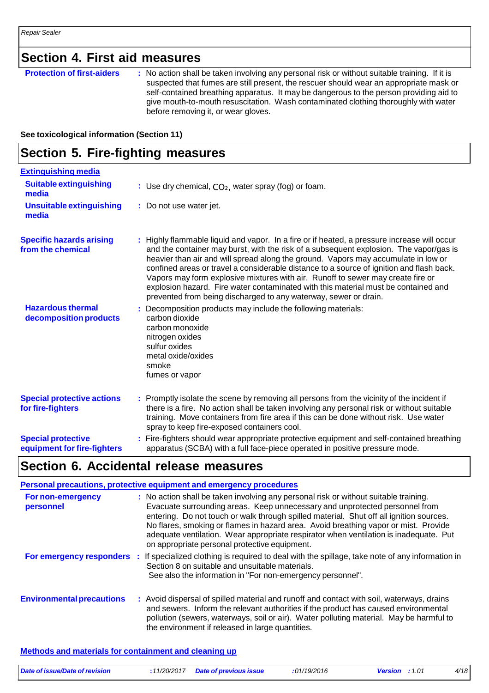### **Section 4. First aid measures**

### **Protection of first-aiders** : No action shall be taken involving any personal risk or without suitable training. If it is suspected that fumes are still present, the rescuer should wear an appropriate mask or self-contained breathing apparatus. It may be dangerous to the person providing aid to give mouth-to-mouth resuscitation. Wash contaminated clothing thoroughly with water before removing it, or wear gloves.

### **See toxicological information (Section 11)**

### **Section 5. Fire-fighting measures**

| <b>Extinguishing media</b>                               |                                                                                                                                                                                                                                                                                                                                                                                                                                                                                                                                                                                                                      |
|----------------------------------------------------------|----------------------------------------------------------------------------------------------------------------------------------------------------------------------------------------------------------------------------------------------------------------------------------------------------------------------------------------------------------------------------------------------------------------------------------------------------------------------------------------------------------------------------------------------------------------------------------------------------------------------|
| <b>Suitable extinguishing</b><br>media                   | : Use dry chemical, $CO2$ , water spray (fog) or foam.                                                                                                                                                                                                                                                                                                                                                                                                                                                                                                                                                               |
| <b>Unsuitable extinguishing</b><br>media                 | : Do not use water jet.                                                                                                                                                                                                                                                                                                                                                                                                                                                                                                                                                                                              |
| <b>Specific hazards arising</b><br>from the chemical     | : Highly flammable liquid and vapor. In a fire or if heated, a pressure increase will occur<br>and the container may burst, with the risk of a subsequent explosion. The vapor/gas is<br>heavier than air and will spread along the ground. Vapors may accumulate in low or<br>confined areas or travel a considerable distance to a source of ignition and flash back.<br>Vapors may form explosive mixtures with air. Runoff to sewer may create fire or<br>explosion hazard. Fire water contaminated with this material must be contained and<br>prevented from being discharged to any waterway, sewer or drain. |
| <b>Hazardous thermal</b><br>decomposition products       | : Decomposition products may include the following materials:<br>carbon dioxide<br>carbon monoxide<br>nitrogen oxides<br>sulfur oxides<br>metal oxide/oxides<br>smoke<br>fumes or vapor                                                                                                                                                                                                                                                                                                                                                                                                                              |
| <b>Special protective actions</b><br>for fire-fighters   | : Promptly isolate the scene by removing all persons from the vicinity of the incident if<br>there is a fire. No action shall be taken involving any personal risk or without suitable<br>training. Move containers from fire area if this can be done without risk. Use water<br>spray to keep fire-exposed containers cool.                                                                                                                                                                                                                                                                                        |
| <b>Special protective</b><br>equipment for fire-fighters | : Fire-fighters should wear appropriate protective equipment and self-contained breathing<br>apparatus (SCBA) with a full face-piece operated in positive pressure mode.                                                                                                                                                                                                                                                                                                                                                                                                                                             |

### **Section 6. Accidental release measures**

|                                  | Personal precautions, protective equipment and emergency procedures                                                                                                                                                                                                                                                                                                                                                                                                                             |
|----------------------------------|-------------------------------------------------------------------------------------------------------------------------------------------------------------------------------------------------------------------------------------------------------------------------------------------------------------------------------------------------------------------------------------------------------------------------------------------------------------------------------------------------|
| For non-emergency<br>personnel   | : No action shall be taken involving any personal risk or without suitable training.<br>Evacuate surrounding areas. Keep unnecessary and unprotected personnel from<br>entering. Do not touch or walk through spilled material. Shut off all ignition sources.<br>No flares, smoking or flames in hazard area. Avoid breathing vapor or mist. Provide<br>adequate ventilation. Wear appropriate respirator when ventilation is inadequate. Put<br>on appropriate personal protective equipment. |
| For emergency responders :       | If specialized clothing is required to deal with the spillage, take note of any information in<br>Section 8 on suitable and unsuitable materials.<br>See also the information in "For non-emergency personnel".                                                                                                                                                                                                                                                                                 |
| <b>Environmental precautions</b> | : Avoid dispersal of spilled material and runoff and contact with soil, waterways, drains<br>and sewers. Inform the relevant authorities if the product has caused environmental<br>pollution (sewers, waterways, soil or air). Water polluting material. May be harmful to<br>the environment if released in large quantities.                                                                                                                                                                 |

### **Methods and materials for containment and cleaning up**

| Date of issue/Date of revision | : 11/20/2017 Date of previous issue | :01/19/2016 | <b>Version</b> : $1.01$ | 4/18 |
|--------------------------------|-------------------------------------|-------------|-------------------------|------|
|                                |                                     |             |                         |      |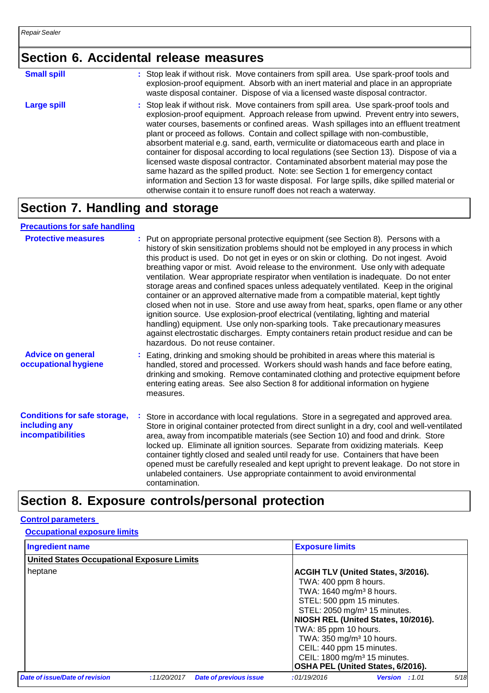## **Section 6. Accidental release measures**

| <b>Small spill</b> | : Stop leak if without risk. Move containers from spill area. Use spark-proof tools and<br>explosion-proof equipment. Absorb with an inert material and place in an appropriate<br>waste disposal container. Dispose of via a licensed waste disposal contractor.                                                                                                                                                                                                                                                                                                                                                                                                                                                                                                                                                                                                                   |
|--------------------|-------------------------------------------------------------------------------------------------------------------------------------------------------------------------------------------------------------------------------------------------------------------------------------------------------------------------------------------------------------------------------------------------------------------------------------------------------------------------------------------------------------------------------------------------------------------------------------------------------------------------------------------------------------------------------------------------------------------------------------------------------------------------------------------------------------------------------------------------------------------------------------|
| <b>Large spill</b> | : Stop leak if without risk. Move containers from spill area. Use spark-proof tools and<br>explosion-proof equipment. Approach release from upwind. Prevent entry into sewers,<br>water courses, basements or confined areas. Wash spillages into an effluent treatment<br>plant or proceed as follows. Contain and collect spillage with non-combustible,<br>absorbent material e.g. sand, earth, vermiculite or diatomaceous earth and place in<br>container for disposal according to local regulations (see Section 13). Dispose of via a<br>licensed waste disposal contractor. Contaminated absorbent material may pose the<br>same hazard as the spilled product. Note: see Section 1 for emergency contact<br>information and Section 13 for waste disposal. For large spills, dike spilled material or<br>otherwise contain it to ensure runoff does not reach a waterway. |

# **Section 7. Handling and storage**

### **Precautions for safe handling**

| <b>Protective measures</b>                                                       | : Put on appropriate personal protective equipment (see Section 8). Persons with a<br>history of skin sensitization problems should not be employed in any process in which<br>this product is used. Do not get in eyes or on skin or clothing. Do not ingest. Avoid<br>breathing vapor or mist. Avoid release to the environment. Use only with adequate<br>ventilation. Wear appropriate respirator when ventilation is inadequate. Do not enter<br>storage areas and confined spaces unless adequately ventilated. Keep in the original<br>container or an approved alternative made from a compatible material, kept tightly<br>closed when not in use. Store and use away from heat, sparks, open flame or any other<br>ignition source. Use explosion-proof electrical (ventilating, lighting and material<br>handling) equipment. Use only non-sparking tools. Take precautionary measures<br>against electrostatic discharges. Empty containers retain product residue and can be<br>hazardous. Do not reuse container. |
|----------------------------------------------------------------------------------|---------------------------------------------------------------------------------------------------------------------------------------------------------------------------------------------------------------------------------------------------------------------------------------------------------------------------------------------------------------------------------------------------------------------------------------------------------------------------------------------------------------------------------------------------------------------------------------------------------------------------------------------------------------------------------------------------------------------------------------------------------------------------------------------------------------------------------------------------------------------------------------------------------------------------------------------------------------------------------------------------------------------------------|
| <b>Advice on general</b><br>occupational hygiene                                 | : Eating, drinking and smoking should be prohibited in areas where this material is<br>handled, stored and processed. Workers should wash hands and face before eating,<br>drinking and smoking. Remove contaminated clothing and protective equipment before<br>entering eating areas. See also Section 8 for additional information on hygiene<br>measures.                                                                                                                                                                                                                                                                                                                                                                                                                                                                                                                                                                                                                                                                   |
| <b>Conditions for safe storage,</b><br>including any<br><b>incompatibilities</b> | Store in accordance with local regulations. Store in a segregated and approved area.<br>Store in original container protected from direct sunlight in a dry, cool and well-ventilated<br>area, away from incompatible materials (see Section 10) and food and drink. Store<br>locked up. Eliminate all ignition sources. Separate from oxidizing materials. Keep<br>container tightly closed and sealed until ready for use. Containers that have been<br>opened must be carefully resealed and kept upright to prevent leakage. Do not store in<br>unlabeled containers. Use appropriate containment to avoid environmental<br>contamination.                                                                                                                                                                                                                                                                                                                                                                                  |

## **Section 8. Exposure controls/personal protection**

**Control parameters**

### **Occupational exposure limits**

| <b>Ingredient name</b>                            |             |                               | <b>Exposure limits</b>                                                                                                                                                                                                               |                                                                                                                                                                   |      |
|---------------------------------------------------|-------------|-------------------------------|--------------------------------------------------------------------------------------------------------------------------------------------------------------------------------------------------------------------------------------|-------------------------------------------------------------------------------------------------------------------------------------------------------------------|------|
| <b>United States Occupational Exposure Limits</b> |             |                               |                                                                                                                                                                                                                                      |                                                                                                                                                                   |      |
| heptane                                           |             |                               | TWA: 400 ppm 8 hours.<br>TWA: 1640 mg/m <sup>3</sup> 8 hours.<br>STEL: 500 ppm 15 minutes.<br>TWA: 85 ppm 10 hours.<br>TWA: 350 mg/m <sup>3</sup> 10 hours.<br>CEIL: 440 ppm 15 minutes.<br>CEIL: 1800 mg/m <sup>3</sup> 15 minutes. | <b>ACGIH TLV (United States, 3/2016).</b><br>STEL: 2050 mg/m <sup>3</sup> 15 minutes.<br>NIOSH REL (United States, 10/2016).<br>OSHA PEL (United States, 6/2016). |      |
| Date of issue/Date of revision                    | :11/20/2017 | <b>Date of previous issue</b> | :01/19/2016                                                                                                                                                                                                                          | <b>Version</b> : 1.01                                                                                                                                             | 5/18 |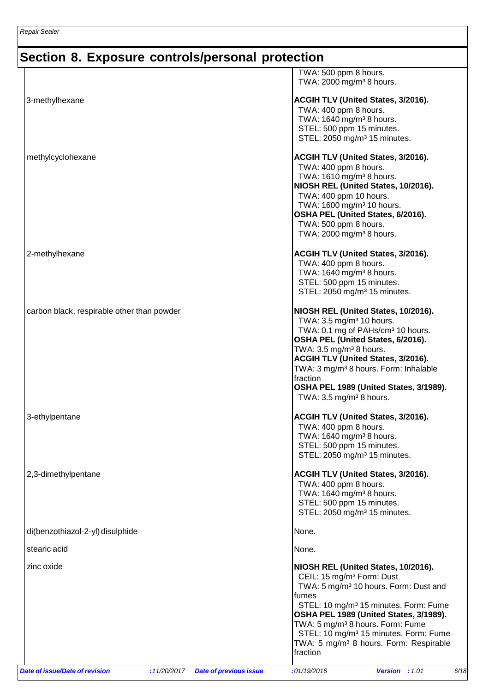|                                            | STEL: 10 mg/m <sup>3</sup> 15 minutes. Form: Fume<br>TWA: 5 mg/m <sup>3</sup> 8 hours. Form: Respirable                                                                                                                                                                                                                                                                                           |  |
|--------------------------------------------|---------------------------------------------------------------------------------------------------------------------------------------------------------------------------------------------------------------------------------------------------------------------------------------------------------------------------------------------------------------------------------------------------|--|
|                                            | fumes<br>STEL: 10 mg/m <sup>3</sup> 15 minutes. Form: Fume<br>OSHA PEL 1989 (United States, 3/1989).<br>TWA: 5 mg/m <sup>3</sup> 8 hours. Form: Fume                                                                                                                                                                                                                                              |  |
| zinc oxide                                 | NIOSH REL (United States, 10/2016).<br>CEIL: 15 mg/m <sup>3</sup> Form: Dust<br>TWA: 5 mg/m <sup>3</sup> 10 hours. Form: Dust and                                                                                                                                                                                                                                                                 |  |
| stearic acid                               | None.                                                                                                                                                                                                                                                                                                                                                                                             |  |
| di(benzothiazol-2-yl) disulphide           | None.                                                                                                                                                                                                                                                                                                                                                                                             |  |
| 2,3-dimethylpentane                        | ACGIH TLV (United States, 3/2016).<br>TWA: 400 ppm 8 hours.<br>TWA: 1640 mg/m <sup>3</sup> 8 hours.<br>STEL: 500 ppm 15 minutes.<br>STEL: 2050 mg/m <sup>3</sup> 15 minutes.                                                                                                                                                                                                                      |  |
| 3-ethylpentane                             | ACGIH TLV (United States, 3/2016).<br>TWA: 400 ppm 8 hours.<br>TWA: 1640 mg/m <sup>3</sup> 8 hours.<br>STEL: 500 ppm 15 minutes.<br>STEL: 2050 mg/m <sup>3</sup> 15 minutes.                                                                                                                                                                                                                      |  |
| carbon black, respirable other than powder | NIOSH REL (United States, 10/2016).<br>TWA: 3.5 mg/m <sup>3</sup> 10 hours.<br>TWA: 0.1 mg of PAHs/cm <sup>3</sup> 10 hours.<br>OSHA PEL (United States, 6/2016).<br>TWA: $3.5 \,\mathrm{mg/m^3}$ 8 hours.<br>ACGIH TLV (United States, 3/2016).<br>TWA: 3 mg/m <sup>3</sup> 8 hours. Form: Inhalable<br>fraction<br>OSHA PEL 1989 (United States, 3/1989).<br>TWA: $3.5 \text{ mg/m}^3$ 8 hours. |  |
| 2-methylhexane                             | ACGIH TLV (United States, 3/2016).<br>TWA: 400 ppm 8 hours.<br>TWA: 1640 mg/m <sup>3</sup> 8 hours.<br>STEL: 500 ppm 15 minutes.<br>STEL: 2050 mg/m <sup>3</sup> 15 minutes.                                                                                                                                                                                                                      |  |
| methylcyclohexane                          | ACGIH TLV (United States, 3/2016).<br>TWA: 400 ppm 8 hours.<br>TWA: 1610 mg/m <sup>3</sup> 8 hours.<br>NIOSH REL (United States, 10/2016).<br>TWA: 400 ppm 10 hours.<br>TWA: 1600 mg/m <sup>3</sup> 10 hours.<br>OSHA PEL (United States, 6/2016).<br>TWA: 500 ppm 8 hours.<br>TWA: 2000 mg/m <sup>3</sup> 8 hours.                                                                               |  |
| 3-methylhexane                             | ACGIH TLV (United States, 3/2016).<br>TWA: 400 ppm 8 hours.<br>TWA: 1640 mg/m <sup>3</sup> 8 hours.<br>STEL: 500 ppm 15 minutes.<br>STEL: 2050 mg/m <sup>3</sup> 15 minutes.                                                                                                                                                                                                                      |  |
|                                            | TWA: 500 ppm 8 hours.<br>TWA: 2000 mg/m <sup>3</sup> 8 hours.                                                                                                                                                                                                                                                                                                                                     |  |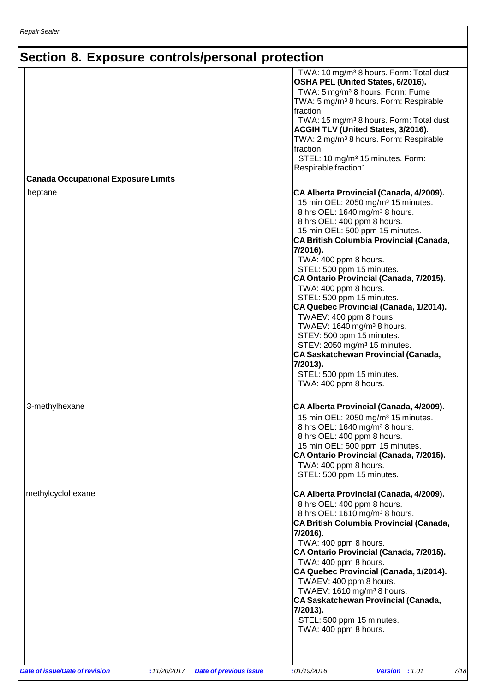|                                            | TWA: 10 mg/m <sup>3</sup> 8 hours. Form: Total dust<br>OSHA PEL (United States, 6/2016).<br>TWA: 5 mg/m <sup>3</sup> 8 hours. Form: Fume<br>TWA: 5 mg/m <sup>3</sup> 8 hours. Form: Respirable<br>fraction<br>TWA: 15 mg/m <sup>3</sup> 8 hours. Form: Total dust<br>ACGIH TLV (United States, 3/2016).<br>TWA: 2 mg/m <sup>3</sup> 8 hours. Form: Respirable<br>fraction<br>STEL: 10 mg/m <sup>3</sup> 15 minutes. Form:<br>Respirable fraction1                                                                                                                                                                                                                                                                                      |
|--------------------------------------------|----------------------------------------------------------------------------------------------------------------------------------------------------------------------------------------------------------------------------------------------------------------------------------------------------------------------------------------------------------------------------------------------------------------------------------------------------------------------------------------------------------------------------------------------------------------------------------------------------------------------------------------------------------------------------------------------------------------------------------------|
| <b>Canada Occupational Exposure Limits</b> |                                                                                                                                                                                                                                                                                                                                                                                                                                                                                                                                                                                                                                                                                                                                        |
| heptane                                    | CA Alberta Provincial (Canada, 4/2009).<br>15 min OEL: 2050 mg/m <sup>3</sup> 15 minutes.<br>8 hrs OEL: 1640 mg/m <sup>3</sup> 8 hours.<br>8 hrs OEL: 400 ppm 8 hours.<br>15 min OEL: 500 ppm 15 minutes.<br><b>CA British Columbia Provincial (Canada,</b><br>7/2016).<br>TWA: 400 ppm 8 hours.<br>STEL: 500 ppm 15 minutes.<br>CA Ontario Provincial (Canada, 7/2015).<br>TWA: 400 ppm 8 hours.<br>STEL: 500 ppm 15 minutes.<br>CA Quebec Provincial (Canada, 1/2014).<br>TWAEV: 400 ppm 8 hours.<br>TWAEV: 1640 mg/m <sup>3</sup> 8 hours.<br>STEV: 500 ppm 15 minutes.<br>STEV: 2050 mg/m <sup>3</sup> 15 minutes.<br><b>CA Saskatchewan Provincial (Canada,</b><br>7/2013).<br>STEL: 500 ppm 15 minutes.<br>TWA: 400 ppm 8 hours. |
| 3-methylhexane                             | CA Alberta Provincial (Canada, 4/2009).<br>15 min OEL: 2050 mg/m <sup>3</sup> 15 minutes.<br>8 hrs OEL: 1640 mg/m <sup>3</sup> 8 hours.<br>8 hrs OEL: 400 ppm 8 hours.<br>15 min OEL: 500 ppm 15 minutes.<br>CA Ontario Provincial (Canada, 7/2015).<br>TWA: 400 ppm 8 hours.<br>STEL: 500 ppm 15 minutes.                                                                                                                                                                                                                                                                                                                                                                                                                             |
| methylcyclohexane                          | CA Alberta Provincial (Canada, 4/2009).<br>8 hrs OEL: 400 ppm 8 hours.<br>8 hrs OEL: 1610 mg/m <sup>3</sup> 8 hours.<br>CA British Columbia Provincial (Canada,<br>7/2016).<br>TWA: 400 ppm 8 hours.<br>CA Ontario Provincial (Canada, 7/2015).<br>TWA: 400 ppm 8 hours.<br>CA Quebec Provincial (Canada, 1/2014).<br>TWAEV: 400 ppm 8 hours.<br>TWAEV: 1610 mg/m <sup>3</sup> 8 hours.<br><b>CA Saskatchewan Provincial (Canada,</b><br>7/2013).<br>STEL: 500 ppm 15 minutes.<br>TWA: 400 ppm 8 hours.                                                                                                                                                                                                                                |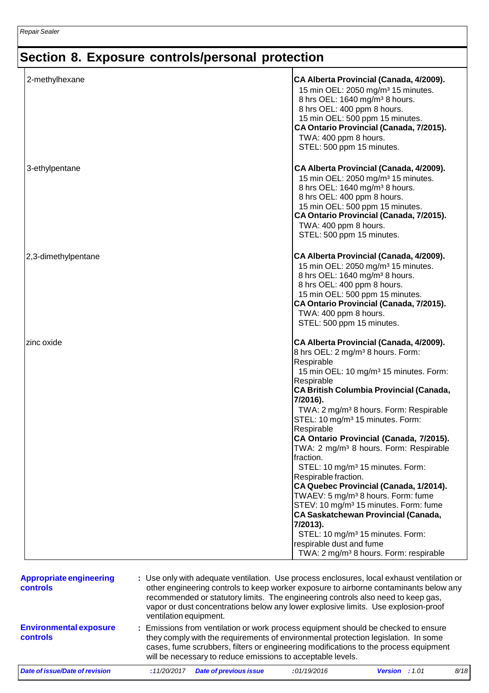| 2-methylhexane                             |                                                                                                                                                                                                                                                                                                                                                                                         | 8 hrs OEL: 400 ppm 8 hours.<br>TWA: 400 ppm 8 hours.<br>STEL: 500 ppm 15 minutes.                                               | CA Alberta Provincial (Canada, 4/2009).<br>15 min OEL: 2050 mg/m <sup>3</sup> 15 minutes.<br>8 hrs OEL: 1640 mg/m <sup>3</sup> 8 hours.<br>15 min OEL: 500 ppm 15 minutes.<br>CA Ontario Provincial (Canada, 7/2015).                                                                                                                                                                                                                                                                                                                                                                                                                                                                                                                                        |      |
|--------------------------------------------|-----------------------------------------------------------------------------------------------------------------------------------------------------------------------------------------------------------------------------------------------------------------------------------------------------------------------------------------------------------------------------------------|---------------------------------------------------------------------------------------------------------------------------------|--------------------------------------------------------------------------------------------------------------------------------------------------------------------------------------------------------------------------------------------------------------------------------------------------------------------------------------------------------------------------------------------------------------------------------------------------------------------------------------------------------------------------------------------------------------------------------------------------------------------------------------------------------------------------------------------------------------------------------------------------------------|------|
| 3-ethylpentane                             |                                                                                                                                                                                                                                                                                                                                                                                         | 8 hrs OEL: 400 ppm 8 hours.<br>TWA: 400 ppm 8 hours.<br>STEL: 500 ppm 15 minutes.                                               | CA Alberta Provincial (Canada, 4/2009).<br>15 min OEL: 2050 mg/m <sup>3</sup> 15 minutes.<br>8 hrs OEL: 1640 mg/m <sup>3</sup> 8 hours.<br>15 min OEL: 500 ppm 15 minutes.<br>CA Ontario Provincial (Canada, 7/2015).                                                                                                                                                                                                                                                                                                                                                                                                                                                                                                                                        |      |
| 2,3-dimethylpentane                        |                                                                                                                                                                                                                                                                                                                                                                                         | 8 hrs OEL: 400 ppm 8 hours.<br>TWA: 400 ppm 8 hours.<br>STEL: 500 ppm 15 minutes.                                               | CA Alberta Provincial (Canada, 4/2009).<br>15 min OEL: 2050 mg/m <sup>3</sup> 15 minutes.<br>8 hrs OEL: 1640 mg/m <sup>3</sup> 8 hours.<br>15 min OEL: 500 ppm 15 minutes.<br>CA Ontario Provincial (Canada, 7/2015).                                                                                                                                                                                                                                                                                                                                                                                                                                                                                                                                        |      |
| zinc oxide                                 |                                                                                                                                                                                                                                                                                                                                                                                         | Respirable<br>Respirable<br>7/2016).<br>Respirable<br>fraction.<br>Respirable fraction.<br>7/2013).<br>respirable dust and fume | CA Alberta Provincial (Canada, 4/2009).<br>8 hrs OEL: 2 mg/m <sup>3</sup> 8 hours. Form:<br>15 min OEL: 10 mg/m <sup>3</sup> 15 minutes. Form:<br><b>CA British Columbia Provincial (Canada,</b><br>TWA: 2 mg/m <sup>3</sup> 8 hours. Form: Respirable<br>STEL: 10 mg/m <sup>3</sup> 15 minutes. Form:<br>CA Ontario Provincial (Canada, 7/2015).<br>TWA: 2 mg/m <sup>3</sup> 8 hours. Form: Respirable<br>STEL: 10 mg/m <sup>3</sup> 15 minutes. Form:<br>CA Quebec Provincial (Canada, 1/2014).<br>TWAEV: 5 mg/m <sup>3</sup> 8 hours. Form: fume<br>STEV: 10 mg/m <sup>3</sup> 15 minutes. Form: fume<br><b>CA Saskatchewan Provincial (Canada,</b><br>STEL: 10 mg/m <sup>3</sup> 15 minutes. Form:<br>TWA: 2 mg/m <sup>3</sup> 8 hours. Form: respirable |      |
| <b>Appropriate engineering</b><br>controls | : Use only with adequate ventilation. Use process enclosures, local exhaust ventilation or<br>other engineering controls to keep worker exposure to airborne contaminants below any<br>recommended or statutory limits. The engineering controls also need to keep gas,<br>vapor or dust concentrations below any lower explosive limits. Use explosion-proof<br>ventilation equipment. |                                                                                                                                 |                                                                                                                                                                                                                                                                                                                                                                                                                                                                                                                                                                                                                                                                                                                                                              |      |
| <b>Environmental exposure</b><br>controls  | Emissions from ventilation or work process equipment should be checked to ensure<br>they comply with the requirements of environmental protection legislation. In some<br>cases, fume scrubbers, filters or engineering modifications to the process equipment<br>will be necessary to reduce emissions to acceptable levels.                                                           |                                                                                                                                 |                                                                                                                                                                                                                                                                                                                                                                                                                                                                                                                                                                                                                                                                                                                                                              |      |
| Date of issue/Date of revision             | : 11/20/2017<br><b>Date of previous issue</b>                                                                                                                                                                                                                                                                                                                                           | :01/19/2016                                                                                                                     | Version : 1.01                                                                                                                                                                                                                                                                                                                                                                                                                                                                                                                                                                                                                                                                                                                                               | 8/18 |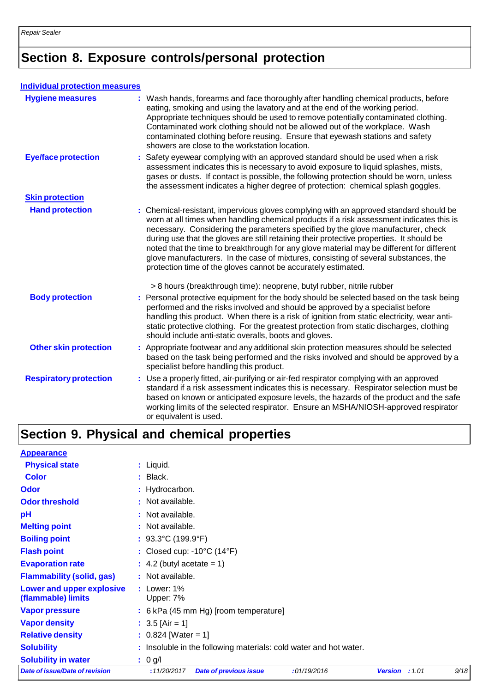### **Individual protection measures**

| <b>Hygiene measures</b>       | : Wash hands, forearms and face thoroughly after handling chemical products, before<br>eating, smoking and using the lavatory and at the end of the working period.<br>Appropriate techniques should be used to remove potentially contaminated clothing.<br>Contaminated work clothing should not be allowed out of the workplace. Wash<br>contaminated clothing before reusing. Ensure that eyewash stations and safety<br>showers are close to the workstation location.                                                                                                                                            |
|-------------------------------|------------------------------------------------------------------------------------------------------------------------------------------------------------------------------------------------------------------------------------------------------------------------------------------------------------------------------------------------------------------------------------------------------------------------------------------------------------------------------------------------------------------------------------------------------------------------------------------------------------------------|
| <b>Eye/face protection</b>    | : Safety eyewear complying with an approved standard should be used when a risk<br>assessment indicates this is necessary to avoid exposure to liquid splashes, mists,<br>gases or dusts. If contact is possible, the following protection should be worn, unless<br>the assessment indicates a higher degree of protection: chemical splash goggles.                                                                                                                                                                                                                                                                  |
| <b>Skin protection</b>        |                                                                                                                                                                                                                                                                                                                                                                                                                                                                                                                                                                                                                        |
| <b>Hand protection</b>        | : Chemical-resistant, impervious gloves complying with an approved standard should be<br>worn at all times when handling chemical products if a risk assessment indicates this is<br>necessary. Considering the parameters specified by the glove manufacturer, check<br>during use that the gloves are still retaining their protective properties. It should be<br>noted that the time to breakthrough for any glove material may be different for different<br>glove manufacturers. In the case of mixtures, consisting of several substances, the<br>protection time of the gloves cannot be accurately estimated. |
|                               | > 8 hours (breakthrough time): neoprene, butyl rubber, nitrile rubber                                                                                                                                                                                                                                                                                                                                                                                                                                                                                                                                                  |
| <b>Body protection</b>        | : Personal protective equipment for the body should be selected based on the task being<br>performed and the risks involved and should be approved by a specialist before<br>handling this product. When there is a risk of ignition from static electricity, wear anti-<br>static protective clothing. For the greatest protection from static discharges, clothing<br>should include anti-static overalls, boots and gloves.                                                                                                                                                                                         |
| <b>Other skin protection</b>  | : Appropriate footwear and any additional skin protection measures should be selected<br>based on the task being performed and the risks involved and should be approved by a<br>specialist before handling this product.                                                                                                                                                                                                                                                                                                                                                                                              |
| <b>Respiratory protection</b> | : Use a properly fitted, air-purifying or air-fed respirator complying with an approved<br>standard if a risk assessment indicates this is necessary. Respirator selection must be<br>based on known or anticipated exposure levels, the hazards of the product and the safe<br>working limits of the selected respirator. Ensure an MSHA/NIOSH-approved respirator<br>or equivalent is used.                                                                                                                                                                                                                          |

# **Section 9. Physical and chemical properties**

| <b>Appearance</b>                               |                                                                   |                       |      |
|-------------------------------------------------|-------------------------------------------------------------------|-----------------------|------|
| <b>Physical state</b>                           | $:$ Liquid.                                                       |                       |      |
| <b>Color</b>                                    | $:$ Black.                                                        |                       |      |
| Odor                                            | : Hydrocarbon.                                                    |                       |      |
| <b>Odor threshold</b>                           | : Not available.                                                  |                       |      |
| pH                                              | : Not available.                                                  |                       |      |
| <b>Melting point</b>                            | : Not available.                                                  |                       |      |
| <b>Boiling point</b>                            | : $93.3^{\circ}$ C (199.9 $^{\circ}$ F)                           |                       |      |
| <b>Flash point</b>                              | : Closed cup: $-10^{\circ}$ C (14 $^{\circ}$ F)                   |                       |      |
| <b>Evaporation rate</b>                         | $\therefore$ 4.2 (butyl acetate = 1)                              |                       |      |
| <b>Flammability (solid, gas)</b>                | : Not available.                                                  |                       |      |
| Lower and upper explosive<br>(flammable) limits | $:$ Lower: 1%<br>Upper: 7%                                        |                       |      |
| <b>Vapor pressure</b>                           | : 6 kPa (45 mm Hg) [room temperature]                             |                       |      |
| <b>Vapor density</b>                            | : $3.5$ [Air = 1]                                                 |                       |      |
| <b>Relative density</b>                         | $: 0.824$ [Water = 1]                                             |                       |      |
| <b>Solubility</b>                               | : Insoluble in the following materials: cold water and hot water. |                       |      |
| <b>Solubility in water</b>                      | : 0 g/l                                                           |                       |      |
| Date of issue/Date of revision                  | :11/20/2017<br><b>Date of previous issue</b><br>:01/19/2016       | <b>Version</b> : 1.01 | 9/18 |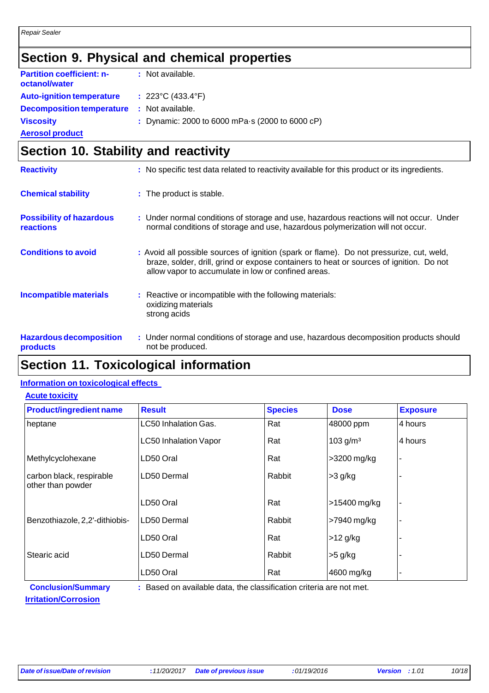## **Section 9. Physical and chemical properties**

| <b>Partition coefficient: n-</b><br>octanol/water | : Not available.                                |
|---------------------------------------------------|-------------------------------------------------|
| <b>Auto-ignition temperature</b>                  | : $223^{\circ}$ C (433.4 $^{\circ}$ F)          |
| <b>Decomposition temperature</b>                  | : Not available.                                |
| <b>Viscosity</b>                                  | : Dynamic: 2000 to 6000 mPa s (2000 to 6000 cP) |
| <b>Aerosol product</b>                            |                                                 |

## **Section 10. Stability and reactivity**

| <b>Reactivity</b>                                   | : No specific test data related to reactivity available for this product or its ingredients.                                                                                                                                               |
|-----------------------------------------------------|--------------------------------------------------------------------------------------------------------------------------------------------------------------------------------------------------------------------------------------------|
| <b>Chemical stability</b>                           | : The product is stable.                                                                                                                                                                                                                   |
| <b>Possibility of hazardous</b><br><b>reactions</b> | : Under normal conditions of storage and use, hazardous reactions will not occur. Under<br>normal conditions of storage and use, hazardous polymerization will not occur.                                                                  |
| <b>Conditions to avoid</b>                          | : Avoid all possible sources of ignition (spark or flame). Do not pressurize, cut, weld,<br>braze, solder, drill, grind or expose containers to heat or sources of ignition. Do not<br>allow vapor to accumulate in low or confined areas. |
| <b>Incompatible materials</b>                       | : Reactive or incompatible with the following materials:<br>oxidizing materials<br>strong acids                                                                                                                                            |
| <b>Hazardous decomposition</b><br>products          | : Under normal conditions of storage and use, hazardous decomposition products should<br>not be produced.                                                                                                                                  |

## **Section 11. Toxicological information**

### **Information on toxicological effects**

| <b>Acute toxicity</b>          |       |  |  |  |
|--------------------------------|-------|--|--|--|
| <b>Product/ingredient name</b> | Resul |  |  |  |
| heptane                        | LC50  |  |  |  |
|                                | C50 I |  |  |  |

| <b>Product/ingredient name</b>                                                                   | <b>Result</b>                | <b>Species</b> | <b>Dose</b>          | <b>Exposure</b> |  |
|--------------------------------------------------------------------------------------------------|------------------------------|----------------|----------------------|-----------------|--|
| heptane                                                                                          | <b>LC50 Inhalation Gas.</b>  | Rat            | 48000 ppm            | 4 hours         |  |
|                                                                                                  | <b>LC50 Inhalation Vapor</b> | Rat            | 103 g/m <sup>3</sup> | 4 hours         |  |
| Methylcyclohexane                                                                                | LD50 Oral                    | Rat            | >3200 mg/kg          |                 |  |
| carbon black, respirable<br>other than powder                                                    | LD50 Dermal                  | Rabbit         | $>3$ g/kg            |                 |  |
|                                                                                                  | LD50 Oral                    | Rat            | >15400 mg/kg         |                 |  |
| Benzothiazole, 2,2'-dithiobis-                                                                   | LD50 Dermal                  | Rabbit         | >7940 mg/kg          | ۰               |  |
|                                                                                                  | LD50 Oral                    | Rat            | $>12$ g/kg           |                 |  |
| Stearic acid                                                                                     | LD50 Dermal                  | Rabbit         | $>5$ g/kg            |                 |  |
|                                                                                                  | LD50 Oral                    | Rat            | 4600 mg/kg           | ۰               |  |
| <b>Conclusion/Summary</b><br>: Based on available data, the classification criteria are not met. |                              |                |                      |                 |  |

**Irritation/Corrosion**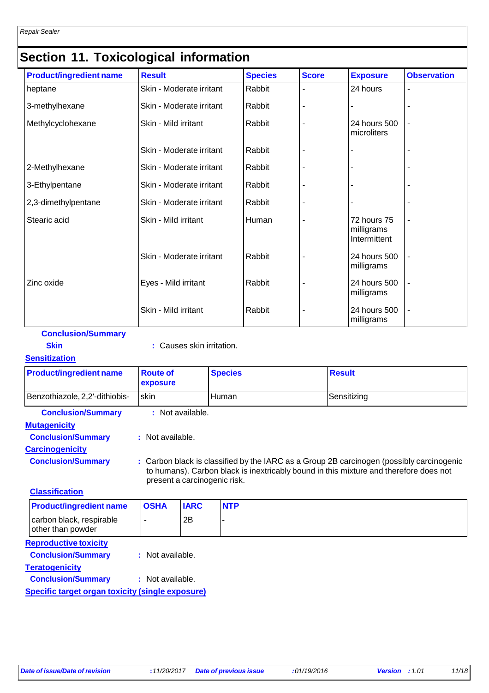## **Section 11. Toxicological information**

| <b>Product/ingredient name</b> | <b>Result</b>            | <b>Species</b> | <b>Score</b>   | <b>Exposure</b>                           | <b>Observation</b>       |
|--------------------------------|--------------------------|----------------|----------------|-------------------------------------------|--------------------------|
| heptane                        | Skin - Moderate irritant | Rabbit         |                | 24 hours                                  |                          |
| 3-methylhexane                 | Skin - Moderate irritant | Rabbit         | ۰              |                                           |                          |
| Methylcyclohexane              | Skin - Mild irritant     | Rabbit         | ۰              | 24 hours 500<br>microliters               | ÷                        |
|                                | Skin - Moderate irritant | Rabbit         |                |                                           |                          |
| 2-Methylhexane                 | Skin - Moderate irritant | Rabbit         |                |                                           |                          |
| 3-Ethylpentane                 | Skin - Moderate irritant | Rabbit         |                |                                           |                          |
| 2,3-dimethylpentane            | Skin - Moderate irritant | Rabbit         | Ĭ.             |                                           |                          |
| Stearic acid                   | Skin - Mild irritant     | Human          | $\blacksquare$ | 72 hours 75<br>milligrams<br>Intermittent | ÷                        |
|                                | Skin - Moderate irritant | Rabbit         | $\blacksquare$ | 24 hours 500<br>milligrams                | $\overline{a}$           |
| Zinc oxide                     | Eyes - Mild irritant     | Rabbit         |                | 24 hours 500<br>milligrams                | $\blacksquare$           |
|                                | Skin - Mild irritant     | Rabbit         | $\blacksquare$ | 24 hours 500<br>milligrams                | $\overline{\phantom{a}}$ |

| <b>Conclusion/Summary</b>      |                             |                |                                                                                                                                                                                   |  |
|--------------------------------|-----------------------------|----------------|-----------------------------------------------------------------------------------------------------------------------------------------------------------------------------------|--|
| <b>Skin</b>                    | : Causes skin irritation.   |                |                                                                                                                                                                                   |  |
| <b>Sensitization</b>           |                             |                |                                                                                                                                                                                   |  |
| <b>Product/ingredient name</b> | <b>Route of</b><br>exposure | <b>Species</b> | <b>Result</b>                                                                                                                                                                     |  |
| Benzothiazole, 2,2'-dithiobis- | skin                        | Human          | Sensitizing                                                                                                                                                                       |  |
| <b>Conclusion/Summary</b>      | : Not available.            |                |                                                                                                                                                                                   |  |
| <b>Mutagenicity</b>            |                             |                |                                                                                                                                                                                   |  |
| <b>Conclusion/Summary</b>      | : Not available.            |                |                                                                                                                                                                                   |  |
| <b>Carcinogenicity</b>         |                             |                |                                                                                                                                                                                   |  |
| <b>Conclusion/Summary</b>      |                             |                | : Carbon black is classified by the IARC as a Group 2B carcinogen (possibly carcinogenic<br>to humans). Carbon black is inextricably bound in this mixture and therefore does not |  |

**Classification**

| <b>Product/ingredient name</b>                | <b>OSHA</b> | <b>IARC</b> | <b>NTP</b> |
|-----------------------------------------------|-------------|-------------|------------|
| carbon black, respirable<br>other than powder |             | 2B          |            |
| Donroductivo tovicity                         |             |             |            |

**Reproductive toxicity**

**Conclusion/Summary :** Not available.

**Teratogenicity**

**Conclusion/Summary :** Not available.

**Specific target organ toxicity (single exposure)**

present a carcinogenic risk.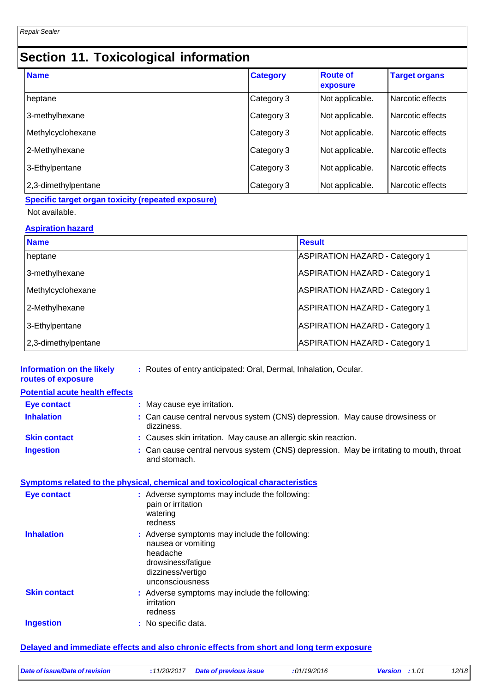# **Section 11. Toxicological information**

| <b>Name</b>         | <b>Category</b> | <b>Route of</b><br>exposure | <b>Target organs</b> |
|---------------------|-----------------|-----------------------------|----------------------|
| heptane             | Category 3      | Not applicable.             | Narcotic effects     |
| 3-methylhexane      | Category 3      | Not applicable.             | Narcotic effects     |
| Methylcyclohexane   | Category 3      | Not applicable.             | Narcotic effects     |
| 2-Methylhexane      | Category 3      | Not applicable.             | Narcotic effects     |
| 3-Ethylpentane      | Category 3      | Not applicable.             | Narcotic effects     |
| 2,3-dimethylpentane | Category 3      | Not applicable.             | Narcotic effects     |

### **Specific target organ toxicity (repeated exposure)** Not available.

### **Aspiration hazard**

| <b>Name</b>         | <b>Result</b>                         |
|---------------------|---------------------------------------|
| heptane             | <b>ASPIRATION HAZARD - Category 1</b> |
| 3-methylhexane      | <b>ASPIRATION HAZARD - Category 1</b> |
| Methylcyclohexane   | <b>ASPIRATION HAZARD - Category 1</b> |
| 2-Methylhexane      | <b>ASPIRATION HAZARD - Category 1</b> |
| 3-Ethylpentane      | <b>ASPIRATION HAZARD - Category 1</b> |
| 2,3-dimethylpentane | <b>ASPIRATION HAZARD - Category 1</b> |

| <b>Information on the likely</b><br>routes of exposure | : Routes of entry anticipated: Oral, Dermal, Inhalation, Ocular.                                                                              |
|--------------------------------------------------------|-----------------------------------------------------------------------------------------------------------------------------------------------|
| <b>Potential acute health effects</b>                  |                                                                                                                                               |
| <b>Eye contact</b>                                     | : May cause eye irritation.                                                                                                                   |
| <b>Inhalation</b>                                      | : Can cause central nervous system (CNS) depression. May cause drowsiness or<br>dizziness.                                                    |
| <b>Skin contact</b>                                    | : Causes skin irritation. May cause an allergic skin reaction.                                                                                |
| <b>Ingestion</b>                                       | : Can cause central nervous system (CNS) depression. May be irritating to mouth, throat<br>and stomach.                                       |
|                                                        | Symptoms related to the physical, chemical and toxicological characteristics                                                                  |
| <b>Eye contact</b>                                     | : Adverse symptoms may include the following:<br>pain or irritation<br>watering<br>redness                                                    |
| <b>Inhalation</b>                                      | : Adverse symptoms may include the following:<br>nausea or vomiting<br>headache<br>drowsiness/fatigue<br>dizziness/vertigo<br>unconsciousness |
| <b>Skin contact</b>                                    | : Adverse symptoms may include the following:<br>irritation<br>redness                                                                        |
| <b>Ingestion</b>                                       | : No specific data.                                                                                                                           |
|                                                        | Delayed and immediate effects and also chronic effects from short and long term exposure                                                      |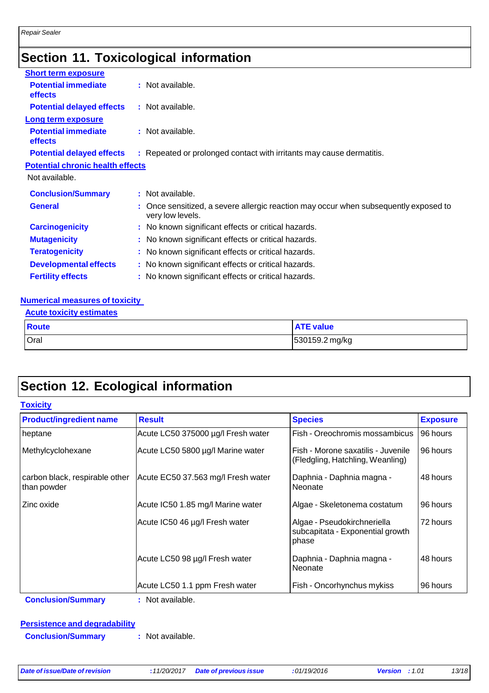# **Section 11. Toxicological information**

| <b>Short term exposure</b>                   |                                                                                                          |  |
|----------------------------------------------|----------------------------------------------------------------------------------------------------------|--|
| <b>Potential immediate</b><br><b>effects</b> | : Not available.                                                                                         |  |
| <b>Potential delayed effects</b>             | : Not available.                                                                                         |  |
| <b>Long term exposure</b>                    |                                                                                                          |  |
| <b>Potential immediate</b><br><b>effects</b> | : Not available.                                                                                         |  |
| <b>Potential delayed effects</b>             | : Repeated or prolonged contact with irritants may cause dermatitis.                                     |  |
| <b>Potential chronic health effects</b>      |                                                                                                          |  |
| Not available.                               |                                                                                                          |  |
| <b>Conclusion/Summary</b>                    | : Not available.                                                                                         |  |
| <b>General</b>                               | : Once sensitized, a severe allergic reaction may occur when subsequently exposed to<br>very low levels. |  |
| <b>Carcinogenicity</b>                       | : No known significant effects or critical hazards.                                                      |  |
| <b>Mutagenicity</b>                          | : No known significant effects or critical hazards.                                                      |  |
| <b>Teratogenicity</b>                        | : No known significant effects or critical hazards.                                                      |  |
| <b>Developmental effects</b>                 | : No known significant effects or critical hazards.                                                      |  |
| <b>Fertility effects</b>                     | : No known significant effects or critical hazards.                                                      |  |

### **Numerical measures of toxicity**

| <b>Acute toxicity estimates</b> |
|---------------------------------|
|---------------------------------|

| Route | <b>ATE value</b> |
|-------|------------------|
| Oral  | 530159.2 mg/kg   |

# **Section 12. Ecological information**

| <b>Product/ingredient name</b>                | <b>Result</b>                      | <b>Species</b>                                                           | <b>Exposure</b> |
|-----------------------------------------------|------------------------------------|--------------------------------------------------------------------------|-----------------|
| heptane                                       | Acute LC50 375000 µg/l Fresh water | Fish - Oreochromis mossambicus                                           | 96 hours        |
| Methylcyclohexane                             | Acute LC50 5800 µg/l Marine water  | Fish - Morone saxatilis - Juvenile<br>(Fledgling, Hatchling, Weanling)   | 96 hours        |
| carbon black, respirable other<br>than powder | Acute EC50 37.563 mg/l Fresh water | Daphnia - Daphnia magna -<br>Neonate                                     | 48 hours        |
| Zinc oxide                                    | Acute IC50 1.85 mg/l Marine water  | Algae - Skeletonema costatum                                             | 96 hours        |
|                                               | Acute IC50 46 µg/l Fresh water     | Algae - Pseudokirchneriella<br>subcapitata - Exponential growth<br>phase | 72 hours        |
|                                               | Acute LC50 98 µg/l Fresh water     | Daphnia - Daphnia magna -<br>Neonate                                     | 48 hours        |
|                                               | Acute LC50 1.1 ppm Fresh water     | Fish - Oncorhynchus mykiss                                               | 96 hours        |

### **Persistence and degradability**

**Conclusion/Summary :** Not available.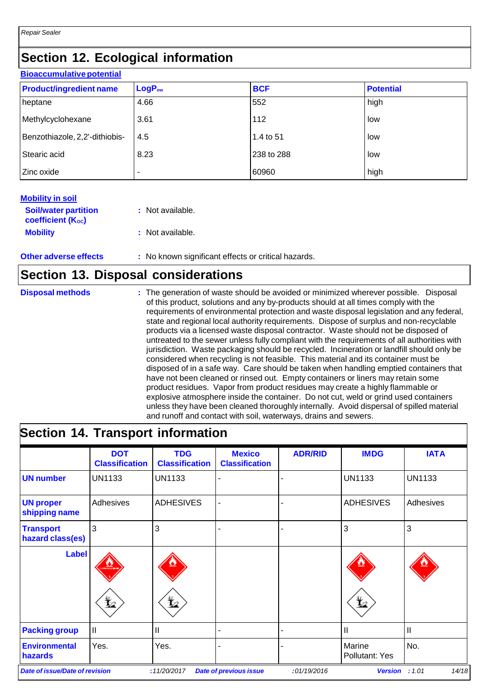## **Section 12. Ecological information**

| <b>Bioaccumulative potential</b> |                    |            |                  |  |  |
|----------------------------------|--------------------|------------|------------------|--|--|
| <b>Product/ingredient name</b>   | LogP <sub>ow</sub> | <b>BCF</b> | <b>Potential</b> |  |  |
| heptane                          | 4.66               | 552        | high             |  |  |
| Methylcyclohexane                | 3.61               | 112        | low              |  |  |
| Benzothiazole, 2,2'-dithiobis-   | 4.5                | 1.4 to 51  | low              |  |  |
| Stearic acid                     | 8.23               | 238 to 288 | low              |  |  |
| Zinc oxide                       |                    | 60960      | high             |  |  |

### **Mobility in soil**

| <b>Soil/water partition</b><br><b>coefficient (Koc)</b> | : Not available. |
|---------------------------------------------------------|------------------|
| <b>Mobility</b>                                         | : Not available. |

### **Other adverse effects** : No known significant effects or critical hazards.

### **Section 13. Disposal considerations**

**Disposal methods :** The generation of waste should be avoided or minimized wherever possible. Disposal of this product, solutions and any by-products should at all times comply with the requirements of environmental protection and waste disposal legislation and any federal, state and regional local authority requirements. Dispose of surplus and non-recyclable products via a licensed waste disposal contractor. Waste should not be disposed of untreated to the sewer unless fully compliant with the requirements of all authorities with jurisdiction. Waste packaging should be recycled. Incineration or landfill should only be considered when recycling is not feasible. This material and its container must be disposed of in a safe way. Care should be taken when handling emptied containers that have not been cleaned or rinsed out. Empty containers or liners may retain some product residues. Vapor from product residues may create a highly flammable or explosive atmosphere inside the container. Do not cut, weld or grind used containers unless they have been cleaned thoroughly internally. Avoid dispersal of spilled material and runoff and contact with soil, waterways, drains and sewers.

## **Section 14. Transport information**

|                                       | <b>DOT</b><br><b>Classification</b> | <b>TDG</b><br><b>Classification</b> | <b>Mexico</b><br><b>Classification</b> | <b>ADR/RID</b> | <b>IMDG</b>              | <b>IATA</b>     |
|---------------------------------------|-------------------------------------|-------------------------------------|----------------------------------------|----------------|--------------------------|-----------------|
| <b>UN number</b>                      | <b>UN1133</b>                       | <b>UN1133</b>                       |                                        |                | <b>UN1133</b>            | <b>UN1133</b>   |
| <b>UN proper</b><br>shipping name     | Adhesives                           | <b>ADHESIVES</b>                    |                                        |                | <b>ADHESIVES</b>         | Adhesives       |
| <b>Transport</b><br>hazard class(es)  | 3                                   | 3                                   |                                        |                | 3                        | 3               |
| <b>Label</b>                          |                                     |                                     |                                        |                |                          |                 |
|                                       | q                                   | ⊻                                   |                                        |                | q                        |                 |
| <b>Packing group</b>                  | Ш                                   | Ш                                   |                                        |                | $\mathbf{I}$             | Ш               |
| <b>Environmental</b><br>hazards       | Yes.                                | Yes.                                |                                        |                | Marine<br>Pollutant: Yes | No.             |
| <b>Date of issue/Date of revision</b> |                                     | :11/20/2017                         | <b>Date of previous issue</b>          | :01/19/2016    | <b>Version</b>           | 14/18<br>: 1.01 |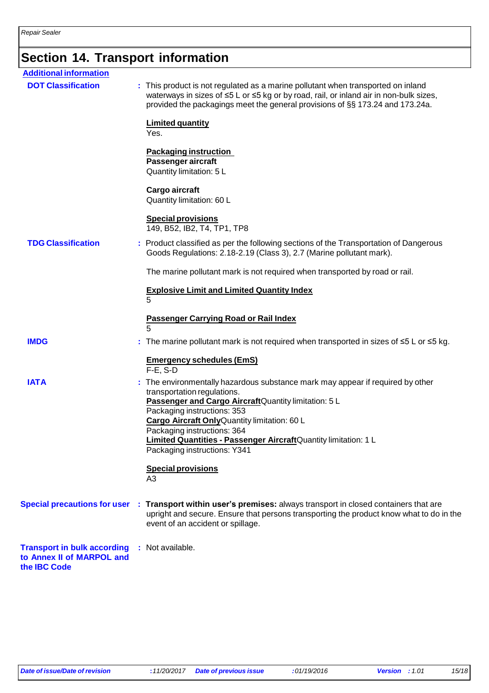# **Section 14. Transport information**

| <b>Additional information</b>                                                   |                                                                                                                                                                                                                                                                                                                                                                                       |
|---------------------------------------------------------------------------------|---------------------------------------------------------------------------------------------------------------------------------------------------------------------------------------------------------------------------------------------------------------------------------------------------------------------------------------------------------------------------------------|
| <b>DOT Classification</b>                                                       | : This product is not regulated as a marine pollutant when transported on inland<br>waterways in sizes of ≤5 L or ≤5 kg or by road, rail, or inland air in non-bulk sizes,<br>provided the packagings meet the general provisions of §§ 173.24 and 173.24a.                                                                                                                           |
|                                                                                 | <b>Limited quantity</b><br>Yes.                                                                                                                                                                                                                                                                                                                                                       |
|                                                                                 | <b>Packaging instruction</b><br>Passenger aircraft<br>Quantity limitation: 5 L                                                                                                                                                                                                                                                                                                        |
|                                                                                 | Cargo aircraft<br>Quantity limitation: 60 L                                                                                                                                                                                                                                                                                                                                           |
|                                                                                 | <b>Special provisions</b><br>149, B52, IB2, T4, TP1, TP8                                                                                                                                                                                                                                                                                                                              |
| <b>TDG Classification</b>                                                       | : Product classified as per the following sections of the Transportation of Dangerous<br>Goods Regulations: 2.18-2.19 (Class 3), 2.7 (Marine pollutant mark).                                                                                                                                                                                                                         |
|                                                                                 | The marine pollutant mark is not required when transported by road or rail.                                                                                                                                                                                                                                                                                                           |
|                                                                                 | <b>Explosive Limit and Limited Quantity Index</b><br>5                                                                                                                                                                                                                                                                                                                                |
|                                                                                 | Passenger Carrying Road or Rail Index<br>5                                                                                                                                                                                                                                                                                                                                            |
| <b>IMDG</b>                                                                     | : The marine pollutant mark is not required when transported in sizes of $\leq 5$ L or $\leq 5$ kg.                                                                                                                                                                                                                                                                                   |
|                                                                                 | <b>Emergency schedules (EmS)</b><br>$F-E$ , S-D                                                                                                                                                                                                                                                                                                                                       |
| <b>IATA</b>                                                                     | The environmentally hazardous substance mark may appear if required by other<br>transportation regulations.<br>Passenger and Cargo Aircraft Quantity limitation: 5 L<br>Packaging instructions: 353<br>Cargo Aircraft OnlyQuantity limitation: 60 L<br>Packaging instructions: 364<br>Limited Quantities - Passenger AircraftQuantity limitation: 1 L<br>Packaging instructions: Y341 |
|                                                                                 | <b>Special provisions</b><br>A3                                                                                                                                                                                                                                                                                                                                                       |
|                                                                                 | Special precautions for user : Transport within user's premises: always transport in closed containers that are<br>upright and secure. Ensure that persons transporting the product know what to do in the<br>event of an accident or spillage.                                                                                                                                       |
| <b>Transport in bulk according</b><br>to Annex II of MARPOL and<br>the IBC Code | : Not available.                                                                                                                                                                                                                                                                                                                                                                      |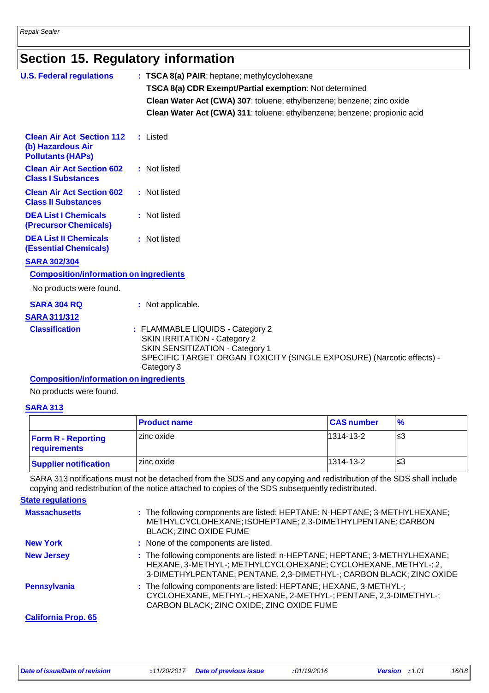# **Section 15. Regulatory information**

| <b>U.S. Federal regulations</b>                                                   | : TSCA 8(a) PAIR: heptane; methylcyclohexane                                                                                                                                                             |
|-----------------------------------------------------------------------------------|----------------------------------------------------------------------------------------------------------------------------------------------------------------------------------------------------------|
|                                                                                   | TSCA 8(a) CDR Exempt/Partial exemption: Not determined                                                                                                                                                   |
|                                                                                   | Clean Water Act (CWA) 307: toluene; ethylbenzene; benzene; zinc oxide                                                                                                                                    |
|                                                                                   | Clean Water Act (CWA) 311: toluene; ethylbenzene; benzene; propionic acid                                                                                                                                |
| <b>Clean Air Act Section 112</b><br>(b) Hazardous Air<br><b>Pollutants (HAPs)</b> | : Listed                                                                                                                                                                                                 |
| <b>Clean Air Act Section 602</b><br><b>Class I Substances</b>                     | : Not listed                                                                                                                                                                                             |
| <b>Clean Air Act Section 602</b><br><b>Class II Substances</b>                    | : Not listed                                                                                                                                                                                             |
| <b>DEA List I Chemicals</b><br>(Precursor Chemicals)                              | : Not listed                                                                                                                                                                                             |
| <b>DEA List II Chemicals</b><br><b>(Essential Chemicals)</b>                      | : Not listed                                                                                                                                                                                             |
| <b>SARA 302/304</b>                                                               |                                                                                                                                                                                                          |
| <b>Composition/information on ingredients</b>                                     |                                                                                                                                                                                                          |
| No products were found.                                                           |                                                                                                                                                                                                          |
| <b>SARA 304 RQ</b>                                                                | : Not applicable.                                                                                                                                                                                        |
| <b>SARA 311/312</b>                                                               |                                                                                                                                                                                                          |
| <b>Classification</b>                                                             | : FLAMMABLE LIQUIDS - Category 2<br><b>SKIN IRRITATION - Category 2</b><br><b>SKIN SENSITIZATION - Category 1</b><br>SPECIFIC TARGET ORGAN TOXICITY (SINGLE EXPOSURE) (Narcotic effects) -<br>Category 3 |
| <b>Composition/information on ingredients</b>                                     |                                                                                                                                                                                                          |

No products were found.

### **SARA 313**

|                                           | <b>Product name</b> | <b>CAS number</b> | $\frac{9}{6}$ |
|-------------------------------------------|---------------------|-------------------|---------------|
| <b>Form R - Reporting</b><br>requirements | zinc oxide          | 1314-13-2         | ՝≤3           |
| Supplier notification                     | zinc oxide          | 1314-13-2         | '≤3           |

SARA 313 notifications must not be detached from the SDS and any copying and redistribution of the SDS shall include copying and redistribution of the notice attached to copies of the SDS subsequently redistributed.

**State regulations**

| <b>Massachusetts</b>       | : The following components are listed: HEPTANE; N-HEPTANE; 3-METHYLHEXANE;<br>METHYLCYCLOHEXANE; ISOHEPTANE; 2,3-DIMETHYLPENTANE; CARBON<br><b>BLACK; ZINC OXIDE FUME</b>                                           |
|----------------------------|---------------------------------------------------------------------------------------------------------------------------------------------------------------------------------------------------------------------|
| <b>New York</b>            | : None of the components are listed.                                                                                                                                                                                |
| <b>New Jersey</b>          | : The following components are listed: n-HEPTANE; HEPTANE; 3-METHYLHEXANE;<br>HEXANE, 3-METHYL-; METHYLCYCLOHEXANE; CYCLOHEXANE, METHYL-; 2,<br>3-DIMETHYLPENTANE; PENTANE, 2,3-DIMETHYL-; CARBON BLACK; ZINC OXIDE |
| <b>Pennsylvania</b>        | : The following components are listed: HEPTANE; HEXANE, 3-METHYL-;<br>CYCLOHEXANE, METHYL-; HEXANE, 2-METHYL-; PENTANE, 2,3-DIMETHYL-;<br>CARBON BLACK; ZINC OXIDE; ZINC OXIDE FUME                                 |
| <b>California Prop. 65</b> |                                                                                                                                                                                                                     |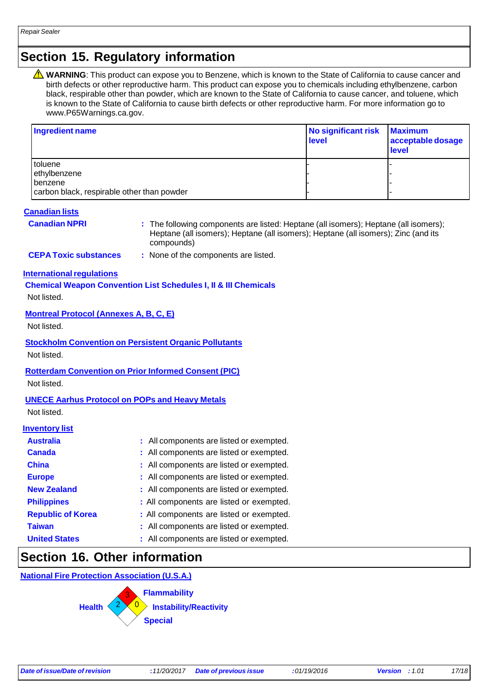## **Section 15. Regulatory information**

WARNING: This product can expose you to Benzene, which is known to the State of California to cause cancer and birth defects or other reproductive harm. This product can expose you to chemicals including ethylbenzene, carbon black, respirable other than powder, which are known to the State of California to cause cancer, and toluene, which is known to the State of California to cause birth defects or other reproductive harm. For more information go t[o](http://www.p65warnings.ca.gov/) [www.P65Warnings.ca.gov.](http://www.p65warnings.ca.gov/)

| Ingredient name                                       | No significant risk<br><b>level</b> | <b>Maximum</b><br>acceptable dosage<br>level |
|-------------------------------------------------------|-------------------------------------|----------------------------------------------|
| toluene                                               |                                     |                                              |
| ethylbenzene                                          |                                     |                                              |
| benzene<br>carbon black, respirable other than powder |                                     |                                              |
|                                                       |                                     |                                              |

### **Canadian lists**

**Canadian NPRI :** The following components are listed: Heptane (all isomers); Heptane (all isomers); Heptane (all isomers); Heptane (all isomers); Heptane (all isomers); Zinc (and its compounds)

**CEPA Toxic substances :** None of the components are listed.

**International regulations** 

**Chemical Weapon Convention List Schedules I, II & III Chemicals**

Not listed.

### **Montreal Protocol (Annexes A, B, C, E)**

Not listed.

**Stockholm Convention on Persistent Organic Pollutants**

Not listed.

### **Rotterdam Convention on Prior Informed Consent (PIC)**

Not listed.

### **UNECE Aarhus Protocol on POPs and Heavy Metals**

Not listed.

### **Inventory list**

| <b>Australia</b>         | : All components are listed or exempted. |
|--------------------------|------------------------------------------|
| <b>Canada</b>            | : All components are listed or exempted. |
| <b>China</b>             | : All components are listed or exempted. |
| <b>Europe</b>            | : All components are listed or exempted. |
| <b>New Zealand</b>       | : All components are listed or exempted. |
| <b>Philippines</b>       | : All components are listed or exempted. |
| <b>Republic of Korea</b> | : All components are listed or exempted. |
| <b>Taiwan</b>            | : All components are listed or exempted. |
| <b>United States</b>     | : All components are listed or exempted. |

### **Section 16. Other information**

**National Fire Protection Association (U.S.A.)**